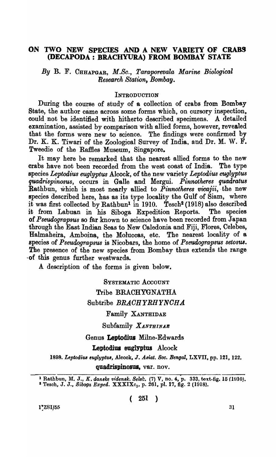#### ON TWO NEW SPECIES AND A NEW VARIETY OF CRABS (DECAPODA: BRACHYURA) FROM BOMBAY STATE

*By* B. F. CHHAPGAR, *M.So., Taraporevala Marine Biological Research Station, Bombay.* 

#### **INTRODUCTION**

During the course of study of a collection of crabs from Bombay State, the author came across some forms which, on cursory inspection, could not be identified with hitherto described specimens. A detailed examination, assisted by comparison with allied forms, however, revealed that the forms were new to science. The findings were confirmed by Dr. K. K. Tiwari of the Zoological Survey of India, and Dr. M. W. F. Tweedie of the Raffies Museum, Singapore.

It may here be remarked that the nearest allied forms to the new<br>bs have not been recorded from the west coast of India. The type crabs have not been recorded from the west coast of India. species *Leptoaius euglyptus* Alcock, of the new variety *Leptodius euglyptus quadrispinosus,* occurs in Galle and Alergui. *Pinnotheres quailratus*  Rathbun, which is most nearly allied to *Pinnotheres vicajii,* . the new species described here, has as its type locality the Gulf of Siam, where it was first collected by Rathbun<sup>1</sup> in 1910. Tesch<sup>2</sup> (1918) also described it from Labuan in his Siboga Expedition Reports. The species of *Pseudograpsus* so far known to science have been recorded from Japan through the East Indian Seas to New Caledonia and Fiji, Flores, Celebes, Halmaheira, Amboina, the Moluccas, etc. species of *Pseuaograpsus* is Nicobars, the home of *Pseudograpsus setosU8.*  The presence of the new species from Bombay thus extends the range . of this genus further westwards.

A description of the forms is given below.

# SYSTEMATIC ACCOUNT Tribe BRACHYGNATHA Subtribe BRACHYRHYNCHA

#### Family XANTHIDAE

Subfamily *XANTHINAB* 

Genus Leptodius Milne-Edwards

Leptodius eugIyptus Alcock

*1898. Leptodius euglllptus,* Alcook, J. *Asiat. Soc. Bengal,* LXVII, pp. 121, 122.

quadrispinosus, var. nov.

<sup>1</sup> Rathbun, M. J., *K. danske vidensk. Sels!:.* (7) V, no. 4, p. 333, text.fig. 15 (1910). <sup>2</sup> Tesch, J. J., *Siboga Exped.* XXXIXc<sub>1</sub>, p. 261, pl. 17, fig. 2 (1918).

 $1\frac{7}{2}$ SI/55 31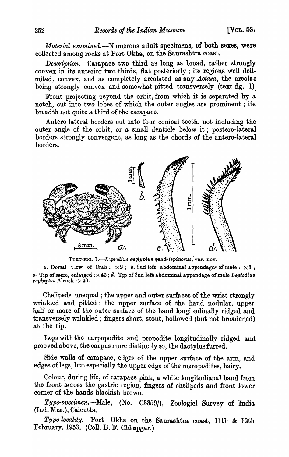*Material examined.-Numerous* adult specimens, of both sexes, were collected among rocks at Port Okha, on the Saurashtra coast.

*Description.-Carapace* two third as long as broad, rather strongly convex in its anterior two-thirds, flat posteriorly; its regions well delimited, convex, and as completely areolated as any *Actaea*, the areolae being strongly convex and somewhat pitted transversely (text-fig. 1).

Front projecting beyond the orbit, from which it is separated by a notch, cut into two lobes of which the outer angles are prominent ; its breadth not quite a third of the carapace.

Antero-Iateral borders cut into four conical teeth, not including the outer angle of the orbit, or a small denticle below it; postero-Iateral borders strongly convergent, as long as the chords of the antero-Iateral borders.



TEXT-FIG. 1.-Leptodius euglyptus quadrispinosus, var. nov.

a. Dorsal view of Crab:  $\times 2$ ; *b.* 2nd left abdominal appendages of male:  $\times 3$ ; 0. Tip of san:e, enlarged:  $\times$  40; d. Tip of 2nd left abdominal appendage of male *Leptodius*  $eugly$ ptus Alcock:  $\times$  40.

Chelipeds unequal; the upper and outer surfaces of the wrist strongly wrinkled and pitted; the upper surface of the hand nodular, upper half or more of the outer surface of the hand longitudinally ridged and transversely wrinkled; fingers short, stout, hollowed (but not broadened) at the tip.

Legs with the carpopodite and propodite longitudinally ridged and grooved above, the carpus more distinctly so, the dactylus furred.

Side walls of carapace, edges of the upper surface of the arm, and edges of legs, but especially the upper edge of the meropodites, hairy.

Colour, during life, of carapace pink, a white longitudianal band from the front across the gastric region, fingers of chelipeds and front lower corner of the hands blackish brown.

*Type-specimen.-Male,* (No. C3359/), ZoologicI Survey of India (Ind. Mus.), Calcutta.

*Type-locality.-Port* Okha on the Saurashtra coast, 11th & 12th February, 1953. (ColI. B. F. Chhapgar.)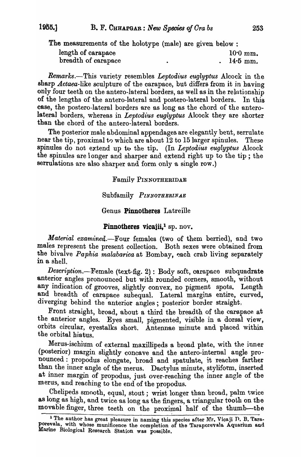The measurements of the holotype (male) are given below :

| length of carapace  |  | $10.0$ mm. |
|---------------------|--|------------|
| breadth of carapace |  | $14.5$ mm. |

*Remarks.-This* variety resembles *Leptodius euglyptus* Alcock in the sharp *Actaea-like* sculpture of the carapace, but differs from it in having only four teeth on the antero-lateral borders, as well as in the relationship of the lengths of the antero-lateral and postero-lateral borders. In this case, the postero-Iateral borders are as long as the chord of the anterolateral borders, whereas in *Leptodius euglyptus* Alcock they are shorter than the chord of the antero-lateral borders.

The posterior male abdominal appendages are elegantly bent, serrulate near the tip, proximal to which are about  $12$  to  $15$  larger spinules. These spinules do not extend up to the tip. (In *Leptodius euglyptus* Alcock the spinules are longer and sharper and extend right up to the tip ; the serrulations are also sharper and form only a single row.)

Familv PINNOTHERIDAE

Subfamily *PINNOTHERINAE* 

### Genus Pinnotheres Latreille

### Pinnotheres vicajii, $\frac{1}{2}$  sp. nov.

*Material examined.*-Four females (two of them berried), and two males represent the present collection. Both sexes were obtained from the bivalve *Paphia malabarica* at Bombay, each crab living separately in a shell.

 $Description. - Female$  (text-fig. 2): Body soft, carapace subquadrate anterior angles pronounced but with rounded corners, smooth, without any indication of grooves, slightly oonvex, no pigment spots. Length and breadth of carapace subequal. Lateral margins entire, curved, diverging behind the anterior angles; posterior border straight.

Front straight, broad, about a third the breadth of the carapace at the anterior angles. Eyes small, pigmented, visible in a dorsal view, orbits circular, eyestalks short. Antennae minute and placed within the orbital hiatus.

Merus-ischium of external maxillipeds a broad plate, with the inner (posterior) margin slightly concave and the antero-internal angle pronounced: propodus elongate, broad and spatulate, it reaches farther than the inner angle of the merus. Dactylus minute, styliform, inserted at inner margin of propodus, just over-reaching the inner angle of the merus, and reaching to the end of the propodus.

Chelipeds smooth, equal, stout; wrist longer than broad, palm twice as long as high, and twice as long as the fingers, a triangular tooth on the movable finger, three teeth on the proximal half of the thumb-the

I The author has great pleasure in naming this species after Mr. Vicaji D. B. Taraporevala, with whose munificence the completion of the Taraporevala Aquarium and Marine Biological Research Station was possible.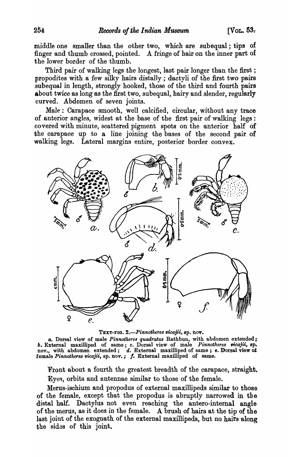middle one smaller than the other two, which are sub equal ; tips of finger and thumb crossed, pointed. A fringe of hair on the inner part of the lower border of the thumb.

Third pair of walking legs the longest, last pair longer than the first ; propodites with a few silky hairs distally; dactyli of the first two pairs subequal in length, strongly hooked, those of the third and fourth pairs about twice as long as the first two, subequal, hairy and slender, regularly curved. Abdomen of seven joints.

Male: Carapace smooth, well calcified, circular, without any trace of anterior angles, widest at the base of the first pair of walking legs: covered with minute, scattered pigment spots on the anterior half of the carapace up to a line joining the bases of the second pair of walking legs. Lateral margins entire, posterior border convex.



TEXT-FIG. 2.—*Pinnotheres vicajii*, sp. nov.

Q. Dorsal view of male *Pinnotheres quadratus* Rathbun, with abdomen extended <sup>j</sup> **b.** External maxilliped of same; *c.* Dorsal view of male *Pinnotheres vicajii*, sp. nov., with abdomen extended;  $d.$  External maxilliped of same;  $e.$  Dorsal view of female *Pinnotheres vicajii*, sp. nov.; f. External maxilliped of same.

Front about a fourth the greatest breadth of the carapace, straight. Eyes, orbits and antennae similar to those of the female.

Merus-isohium and propodus of external maxillipeds similar to those of the female, except that the propodus is abruptly narrowed in the distal half. Daotylus not even reaohing the antero-internal angle of the merus, as it does in the female. A brush of hairs at the tip of the last joint of the exognath of the external maxillipeds, but no hairs along the sidas of this joint.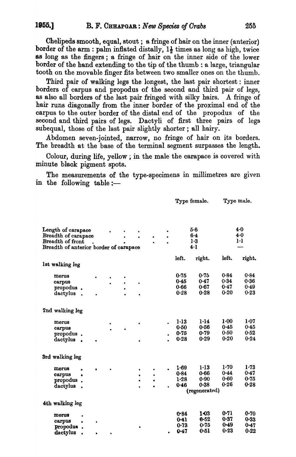Chelipeds smooth, equal, stout; a fringe of hair on the inner (anterior) border of the arm : palm inflated distally,  $1\frac{1}{2}$  times as long as high, twice 88 long as the fingers; a fringe of hair on the inner side of the lower border of the hand extending to the tip of the thumb: a large, triangular tooth on the movable finger fits between two smaller ones on the thumb.

Third pair of walking legs the longest, the last pair shortest : inner borders of carpus and propodus of the second and third pair of legs, as also all borders of the last pair fringed with silky hairs. A fringe of hair runs diagonally from the inner border of the proximal end of the carpus to the outer border of the distal end of the propodus of the second and third pairs of legs. Dactyli of first three pairs of legs subequal, those of the last pair slightly shorter; all hairy.

Abdomen seven-jointed, narrow, no fringe of hair on its borders. The breadth at the base of the terminal segment surpasses the length.

Colour, during life, yellow; in the male the carapace is covered with minute black pigment spots.

The measurements of the type-specimens in millimetres are given in the following table:—

Type female. Type male.

|                                                               |           |  |   |           |          | $\mathbf{y}$ po romano. |          | $\mathbf{y}_{\mathbf{y}}$ |
|---------------------------------------------------------------|-----------|--|---|-----------|----------|-------------------------|----------|---------------------------|
| Length of carapace<br>Breadth of carapace<br>Breadth of front |           |  |   |           |          | 5.6<br>$6 - 4$<br>1.3   |          | 4.0<br>4.0<br>$1 - 1$     |
| Breadth of anterior border of carapace                        |           |  |   |           |          | $4-1$                   |          |                           |
|                                                               |           |  |   |           |          |                         |          |                           |
| 1st walking leg                                               |           |  |   |           | left.    | right.                  | left.    | right.                    |
|                                                               |           |  |   |           |          |                         |          |                           |
| merus                                                         |           |  |   |           | 0.75     | 0.75                    | 0.84     | 0.84                      |
| carpus                                                        |           |  | ٠ |           | 0.45     | 0.47                    | 0.34     | 0.36                      |
| propodus.                                                     |           |  |   |           | 0.66     | 0.67                    | 0.47     | 0.49                      |
| dactylus.                                                     |           |  |   |           | 0.28     | 0.28                    | 0.20     | 0.23                      |
| 2nd walking leg                                               |           |  |   |           |          |                         |          |                           |
| merus                                                         |           |  |   |           | 1·13     | 1·14                    | $1 - 00$ | 1.07                      |
| carpus                                                        |           |  |   |           | 0.50     | 0.56                    | 0.45     | 0.45                      |
| propodus.                                                     |           |  |   |           | $0 - 75$ | 0.79                    | 0.50     | 0.52                      |
| dactylus.                                                     |           |  |   |           | 0.28     | 0.29                    | 0.20     | 0.24                      |
| 3rd walking leg                                               |           |  |   |           |          |                         |          |                           |
| merus<br>ò                                                    | $\bullet$ |  |   |           | 1.69     | $1-13$                  | 1.70     | 1.73                      |
| carpus<br>$\bullet$                                           |           |  | ٠ | $\bullet$ | 0.84     | 0.66                    | 0.44     | 0.47                      |
| propodus                                                      |           |  |   |           | 1.28     | 0.90                    | 0.60     | 0.75                      |
| dactylus                                                      |           |  |   |           | 0.46     | 0.38                    | 0.26     | 0.28                      |
|                                                               |           |  |   |           |          | (regenerated)           |          |                           |
| 4th walking leg                                               |           |  |   |           |          |                         |          |                           |
|                                                               |           |  |   |           | 0.84     | 1-03                    | 0.71     | $0 - 70$                  |
| merus                                                         |           |  |   |           | 0.41     | 0.52                    | 0.37     | 0.33                      |
| carpus<br>$\bullet$                                           |           |  |   |           | 0.73     | 0.75                    | $0 - 49$ | 0.47                      |
| propodus.<br>dactylus                                         |           |  |   |           | 0.47     | 0.51                    | 0.23     | 0.22                      |
|                                                               |           |  |   |           |          |                         |          |                           |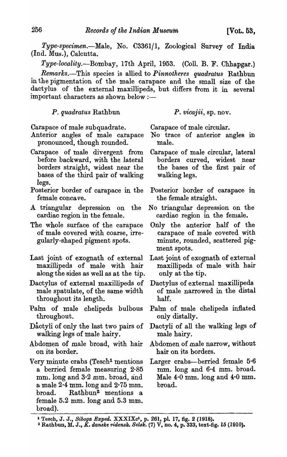*Type-specimen.-Male,* No. C3361/1, Zoological Survey of India (Ind. Mus.), Calcutta.

*Type-locality.-Bombay,* 17th April, 1953. (Coll. B. F. Chhapgar.) *Rema'fks.-This* species is allied to *Pinnotheres quadratus* Rathbun in the pigmentation of the male carapace and the small size of the dactylus of the external maxillipeds, but differs from it in several important characters as shown below :-

*P. quadratus* Rathbun

*P. vicajii,* sp. nov.

Carapace of male subquadrate.

Anterior angles of male carapace pronounced, though rounded.

- Carapace of male divergent from before backward, with the lateral borders straight, widest near the bases of the third pair of walking legs.
- Posterior border of carapace in the female concave.
- A triangular depression on the cardiac region in the female.
- The whole surface of the carapace of ma1e covered with coarse, irregularly-shaped pigment spots.
- Last joint of exognath of external maxillipeds of male with hair along the sides as well as at the tip.
- Dactylus of external maxillipeds of male spatulate, of the same width throughout its length.
- Palm of male chelipeds bulbous throughout.
- Dactyli of only the last two pairs of walking legs of male hairy.
- Abdomen of male broad, with hair on its border.
- Very minute crabs (Tesch<sup>1</sup> mentions a berried female measuring 2·85 mm. long and  $3.2 \text{ mm}$ . broad, and a male 2·4 mm. long and 2·75 mm. broad. Rathbun<sup>2</sup> mentions a female 5.2 mm. long and 5.3 mm. broad).

Carapace of male circular.

- No trace of anterior angles in male.
- Carapace of male circular, lateral borders curved, widest near the bases of the first pair of walking legs.
- Posterior border of carapace in the female straight.
- No triangular depression on the cardiac region in the female.
- Only the anterior half of the carapace of male covered with minute, rounded, scattered pigment spots.
- Last joint of exognath of external maxillipeds of male with hair only at the tip.
- Dactylus of external maxillipeds of male narrowed in the distal half.
- Palm of male chelipeds inflated only distally.
- Dactyli of all the walking legs of male hairy.
- Abdomen of male narrow, without hair on its borders.
- Larger crabs-berried female 5.6  $mm.$  long and  $6.4~mm.$  broad. Male 4·0 mm. long and 4·0 mm. broad.

<sup>&</sup>lt;sup>1</sup> Tesch, J. J., *Siboga Exped.* XXXIXc<sup>1</sup>, p. 261, pl. 17, fig. 2 (1918).

<sup>&</sup>lt;sup>2</sup> Rathbun, M. J., *K. danske vidensk. Selsk.* (7) V, no. 4, p. 333, text-fig. 15 (1910).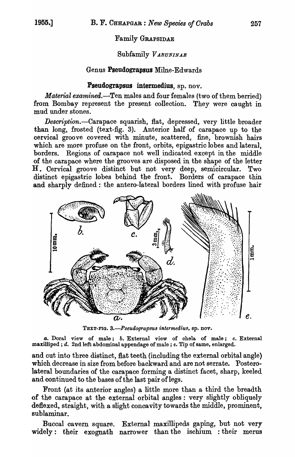# Family GRAPSIDAE

# Subfamily *V ARUNINAE*

### Genus Pseudograpsus Milne-Edwards

### Pseudograpsus intermedius, sp. nov.

*Material examined.-Ten* males and four females (two of them berried) from Bombay represent the present collection. They were caught in mud under stones.

*Description.-Carapace* squarish, flat, depressed, very little broader than long, frosted (text-fig. 3). Anterior half of carapace up to the cervical groove covered with minute, scattered, fine, brownish hairs which are more profuse on the front, orbits, epigastric lobes and lateral. borders. Regions of carapace not well indicated except in the middle of the carapace where the grooves are disposed in the shape of the letter H. Cervical groove distinct but not very deep, semicircular. Two distinct epigastric lobes behind the front. Borders of carapace thin and sharply defined: the antero-lateral borders lined with profuse hair



TEXT-FIG. *3.-Pseudograpsus intermedius,* ap. nov.

*a.* Doral view of male; *b.* External view of chela of male; c. External maxilliped ; *d.* 2nd left abdominal appendage of male; *e*. Tip of same, enlarged.

and cut into three distinct, flat teeth (including the external orbital angle) which decrease in size from before backward and are not serrate. Posterolateral boundaries of the carapace forming a distinct facet, sharp, keeled and continued to the bases of the last pair of legs.

Front (at its anterior angles) a little more than a third the breadth of the carapace at the external orbital angles: very slightly obliquely deflexed, straight, with a slight concavity towards the middle, prominent, sublaminar.

Buccal cavern square. External maxillipeds gaping, but not very widely: their exognath narrower than the ischium : their merus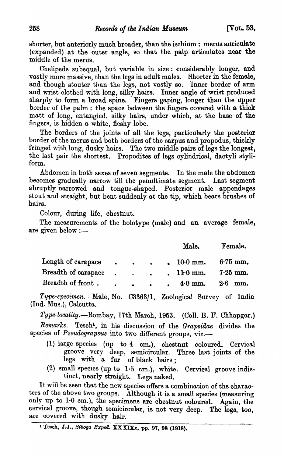shorter, but anteriorly much broader, than the ischium: merus aurioulate (expanded) at the outer angle, so that the palp artioulates near the middle of the merus.

Chelipeds subequal, but variable in size: considerably longer, and vastly more massive, than the legs in adult males. Shorter in the female, and though stouter than the legs, not vastly so. Inner border of arm and wrist clothed with long, silky hairs. Inner angle of wrist produced sharply to form a broad spine. Fingers gaping, longer than the upper border of the palm: the space between the fingers oovered with a thick matt of long, entangled, silky hairs, under which, at the base of the fingers, is hidden a white, fleshy lobe.

The borders of the joints of all the legs, particularly' the posterior border of the merus and both borders of the oarpus and propodus, thickly fringed with long, dusky hairs. The two middle pairs of legs the longest, the last pair the shortest. Propodites of legs cylindrical, dactyli styliform.

Abdomen in both sexes of seven segments. In the male the abdomen becomes gradually narrow till the penultimate segment. Last segment abruptly narrowed and tongue-shaped. Posterior male appendages stout and straight, but bent suddenly at the tip, which bears brushes of hairs.

Colour, during life, chestnut.

The measurements of the holotype (male) and an average female, are given below  $:$ 

|                     |                                         |  | Male.                          | Female.    |
|---------------------|-----------------------------------------|--|--------------------------------|------------|
| Length of carapace  | $\bullet$ $\bullet$ $\bullet$           |  | $\, \cdot \, 10.0 \text{ mm}.$ | $6.75$ mm. |
| Breadth of carapace |                                         |  | $\ldots$ 11.0 mm.              | $7.25$ mm. |
| Breadth of front.   | $\bullet$ $\bullet$ $\bullet$ $\bullet$ |  | $4.0$ mm.                      | $2.6$ mm.  |

*Type-specimen.-'* Male, No. C3363/1, Zoological Survey of India (Ind. Mus.), Calcutta.

*Type-locality.-Bombay,* 17th March, 1953. (ColI. B. F. Chhapgar.) Remarks.-Tesch<sup>1</sup>, in his discussion of the *Grapsidae* divides the species of *Pseudograpsus* into two different groups, viz.-

- (1) large species (up to 4 em.), chestnut coloured. Cervical groove very deep, semicircular. Three last joints of the legs with a fur of black hairs;
- (2) small species (up to  $1.5$  cm.), white. Cervical groove indistinct, nearly straight. Legs naked.

It will be seen that the new species offers a combination of the charaoters of the above two groups. Although it is a small species (measuring only up to 1·0 em.), the specimens are chestnut coloured. Again, the cervical groove, though semicircular, is not very deep. The legs, too, are covered with dusky hair.

<sup>1</sup> Tesch, J.J., *Siboga Exped.* XXXIXo, pp. 97, 98 (1918).